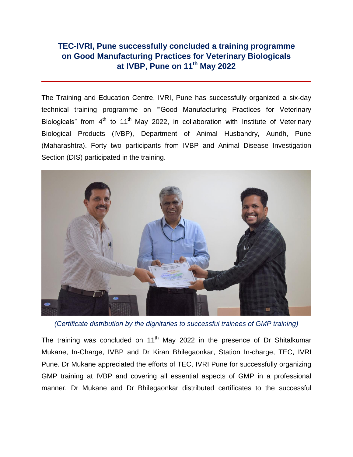## **TEC-IVRI, Pune successfully concluded a training programme on Good Manufacturing Practices for Veterinary Biologicals at IVBP, Pune on 11th May 2022**

The Training and Education Centre, IVRI, Pune has successfully organized a six-day technical training programme on ""Good Manufacturing Practices for Veterinary Biologicals" from 4<sup>th</sup> to 11<sup>th</sup> May 2022, in collaboration with Institute of Veterinary Biological Products (IVBP), Department of Animal Husbandry, Aundh, Pune (Maharashtra). Forty two participants from IVBP and Animal Disease Investigation Section (DIS) participated in the training.



*(Certificate distribution by the dignitaries to successful trainees of GMP training)*

The training was concluded on  $11<sup>th</sup>$  May 2022 in the presence of Dr Shitalkumar Mukane, In-Charge, IVBP and Dr Kiran Bhilegaonkar, Station In-charge, TEC, IVRI Pune. Dr Mukane appreciated the efforts of TEC, IVRI Pune for successfully organizing GMP training at IVBP and covering all essential aspects of GMP in a professional manner. Dr Mukane and Dr Bhilegaonkar distributed certificates to the successful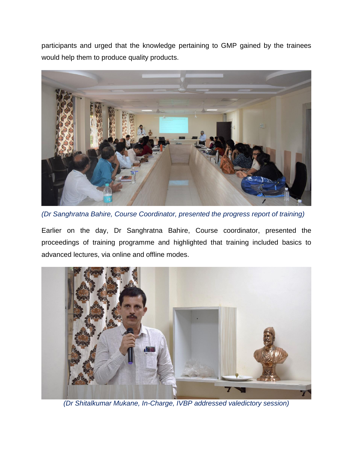participants and urged that the knowledge pertaining to GMP gained by the trainees would help them to produce quality products.



*(Dr Sanghratna Bahire, Course Coordinator, presented the progress report of training)*

Earlier on the day, Dr Sanghratna Bahire, Course coordinator, presented the proceedings of training programme and highlighted that training included basics to advanced lectures, via online and offline modes.



*(Dr Shitalkumar Mukane, In-Charge, IVBP addressed valedictory session)*